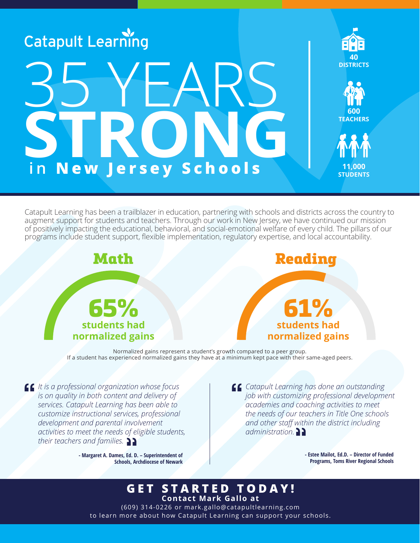

Catapult Learning has been a trailblazer in education, partnering with schools and districts across the country to augment support for students and teachers. Through our work in New Jersey, we have continued our mission of positively impacting the educational, behavioral, and social-emotional welfare of every child. The pillars of our programs include student support, flexible implementation, regulatory expertise, and local accountability.



Normalized gains represent a student's growth compared to a peer group. If a student has experienced normalized gains they have at a minimum kept pace with their same-aged peers.

*It is a professional organization whose focus is on quality in both content and delivery of services. Catapult Learning has been able to customize instructional services, professional development and parental involvement activities to meet the needs of eligible students, their teachers and families.*

> **- Margaret A. Dames, Ed. D. – Superintendent of Schools, Archdiocese of Newark**

*Catapult Learning has done an outstanding job with customizing professional development academies and coaching activities to meet the needs of our teachers in Title One schools and other staff within the district including administration.*

> **- Estee Mailot, Ed.D. – Director of Funded Programs, Toms River Regional Schools**

# **GET STARTED TODAY! Contact Mark Gallo at**

(609) 314-0226 or mark.gallo@catapultlearning.com to learn more about how Catapult Learning can support your schools.